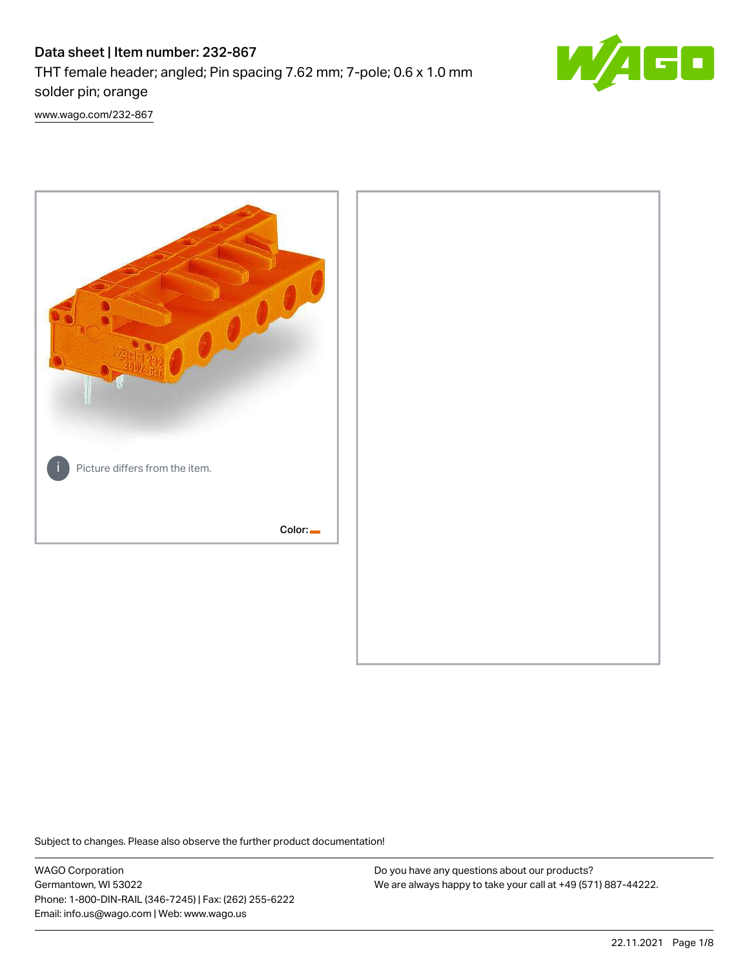# Data sheet | Item number: 232-867 THT female header; angled; Pin spacing 7.62 mm; 7-pole; 0.6 x 1.0 mm



solder pin; orange [www.wago.com/232-867](http://www.wago.com/232-867)



Subject to changes. Please also observe the further product documentation!

WAGO Corporation Germantown, WI 53022 Phone: 1-800-DIN-RAIL (346-7245) | Fax: (262) 255-6222 Email: info.us@wago.com | Web: www.wago.us

Do you have any questions about our products? We are always happy to take your call at +49 (571) 887-44222.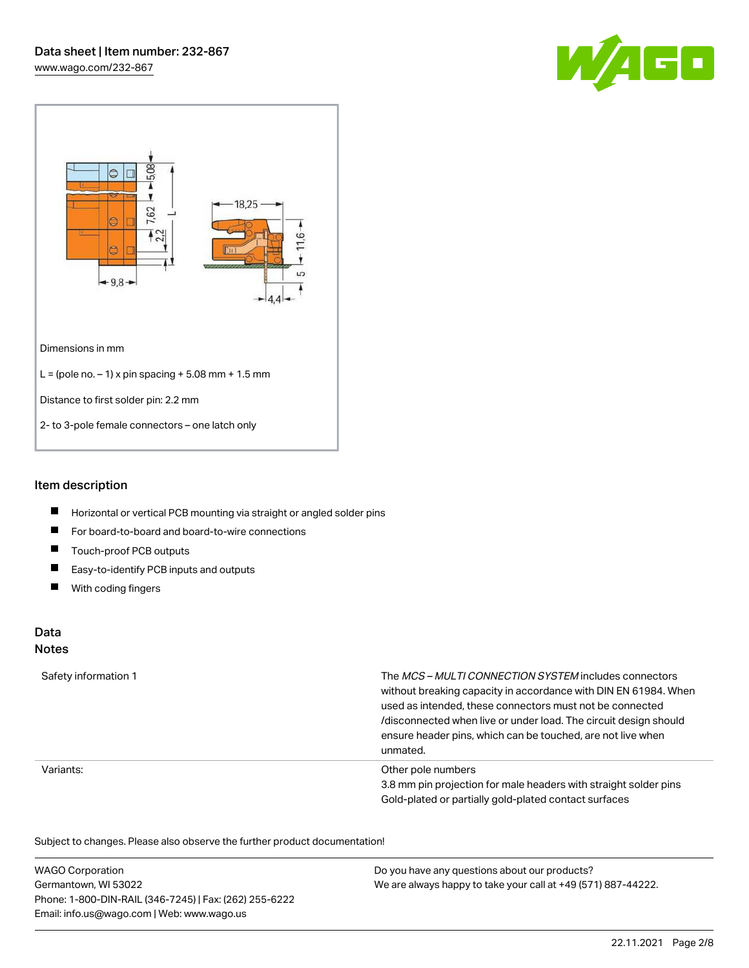



## Item description

- $\blacksquare$ Horizontal or vertical PCB mounting via straight or angled solder pins
- $\blacksquare$ For board-to-board and board-to-wire connections
- $\blacksquare$ Touch-proof PCB outputs
- $\blacksquare$ Easy-to-identify PCB inputs and outputs
- $\blacksquare$ With coding fingers

#### Data Notes

## Safety information 1 The MCS – MULTI CONNECTION SYSTEM includes connectors without breaking capacity in accordance with DIN EN 61984. When used as intended, these connectors must not be connected /disconnected when live or under load. The circuit design should ensure header pins, which can be touched, are not live when unmated. Variants: Other pole numbers 3.8 mm pin projection for male headers with straight solder pins Gold-plated or partially gold-plated contact surfaces

Subject to changes. Please also observe the further product documentation!  $\overline{\mathcal{O}}$ 

| <b>WAGO Corporation</b>                                | Do you have any questions about our products?                 |
|--------------------------------------------------------|---------------------------------------------------------------|
| Germantown, WI 53022                                   | We are always happy to take your call at +49 (571) 887-44222. |
| Phone: 1-800-DIN-RAIL (346-7245)   Fax: (262) 255-6222 |                                                               |
| Email: info.us@wago.com   Web: www.wago.us             |                                                               |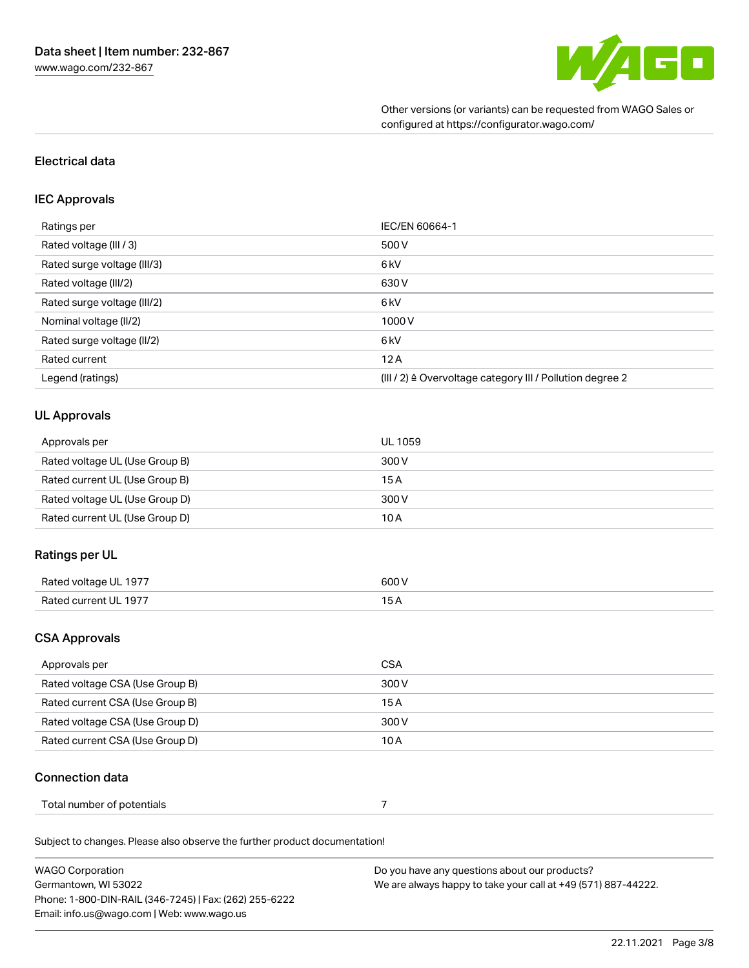

Other versions (or variants) can be requested from WAGO Sales or configured at https://configurator.wago.com/

## Electrical data

#### IEC Approvals

| Ratings per                 | IEC/EN 60664-1                                                        |
|-----------------------------|-----------------------------------------------------------------------|
| Rated voltage (III / 3)     | 500 V                                                                 |
| Rated surge voltage (III/3) | 6 kV                                                                  |
| Rated voltage (III/2)       | 630 V                                                                 |
| Rated surge voltage (III/2) | 6 <sub>kV</sub>                                                       |
| Nominal voltage (II/2)      | 1000V                                                                 |
| Rated surge voltage (II/2)  | 6 <sub>kV</sub>                                                       |
| Rated current               | 12A                                                                   |
| Legend (ratings)            | $(III / 2)$ $\triangle$ Overvoltage category III / Pollution degree 2 |

#### UL Approvals

| Approvals per                  | UL 1059 |
|--------------------------------|---------|
| Rated voltage UL (Use Group B) | 300 V   |
| Rated current UL (Use Group B) | 15 A    |
| Rated voltage UL (Use Group D) | 300 V   |
| Rated current UL (Use Group D) | 10 A    |

#### Ratings per UL

| Rated voltage<br>- 1977<br>м. III н | 600' |
|-------------------------------------|------|
| <b>Pated current</b><br>III 197     | ____ |

## CSA Approvals

| Approvals per                   | CSA   |
|---------------------------------|-------|
| Rated voltage CSA (Use Group B) | 300 V |
| Rated current CSA (Use Group B) | 15 A  |
| Rated voltage CSA (Use Group D) | 300 V |
| Rated current CSA (Use Group D) | 10 A  |

#### Connection data

| Total number of potentials |  |  |
|----------------------------|--|--|
|----------------------------|--|--|

Subject to changes. Please also observe the further product documentation!

| <b>WAGO Corporation</b>                                | Do you have any questions about our products?                 |
|--------------------------------------------------------|---------------------------------------------------------------|
| Germantown, WI 53022                                   | We are always happy to take your call at +49 (571) 887-44222. |
| Phone: 1-800-DIN-RAIL (346-7245)   Fax: (262) 255-6222 |                                                               |
| Email: info.us@wago.com   Web: www.wago.us             |                                                               |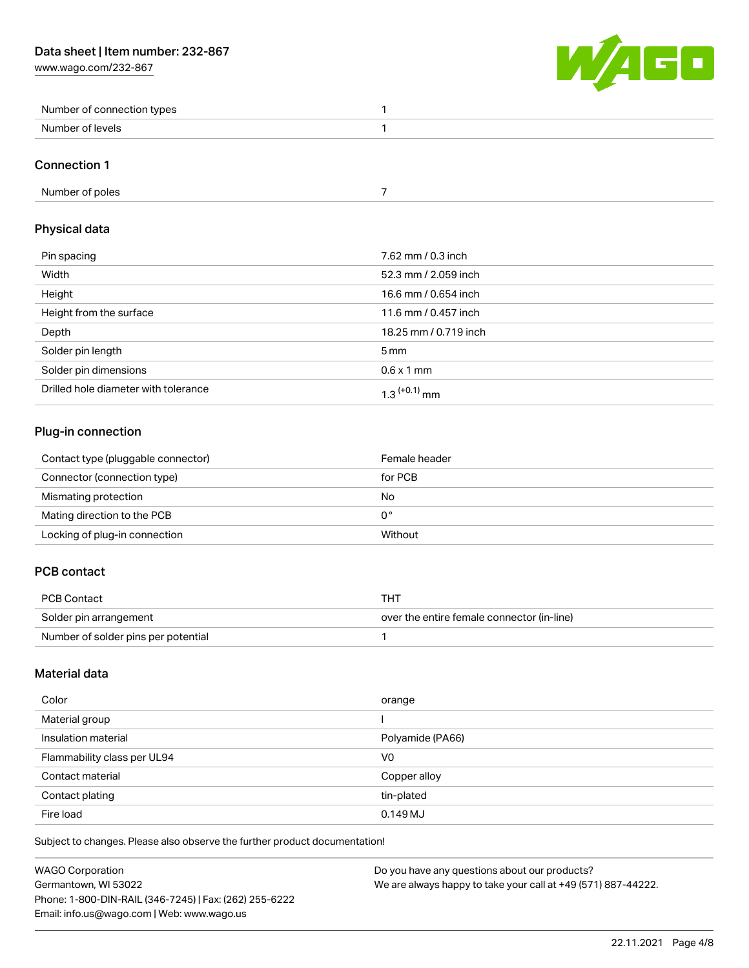

| Number of connection types |  |
|----------------------------|--|
| Number of levels           |  |

#### Connection 1

# Physical data

| Pin spacing                          | 7.62 mm / 0.3 inch    |
|--------------------------------------|-----------------------|
| Width                                | 52.3 mm / 2.059 inch  |
| Height                               | 16.6 mm / 0.654 inch  |
| Height from the surface              | 11.6 mm / 0.457 inch  |
| Depth                                | 18.25 mm / 0.719 inch |
| Solder pin length                    | $5 \,\mathrm{mm}$     |
| Solder pin dimensions                | $0.6 \times 1$ mm     |
| Drilled hole diameter with tolerance | $1.3$ $(+0.1)$ mm     |

# Plug-in connection

| Contact type (pluggable connector) | Female header |
|------------------------------------|---------------|
| Connector (connection type)        | for PCB       |
| Mismating protection               | No            |
| Mating direction to the PCB        | 0°            |
| Locking of plug-in connection      | Without       |

## PCB contact

| PCB Contact                         | THT                                        |
|-------------------------------------|--------------------------------------------|
| Solder pin arrangement              | over the entire female connector (in-line) |
| Number of solder pins per potential |                                            |

## Material data

| Color                       | orange           |
|-----------------------------|------------------|
| Material group              |                  |
| Insulation material         | Polyamide (PA66) |
| Flammability class per UL94 | V <sub>0</sub>   |
| Contact material            | Copper alloy     |
| Contact plating             | tin-plated       |
| Fire load                   | 0.149 MJ         |

Subject to changes. Please also observe the further product documentation!

| <b>WAGO Corporation</b>                                | Do you have any questions about our products?                 |
|--------------------------------------------------------|---------------------------------------------------------------|
| Germantown, WI 53022                                   | We are always happy to take your call at +49 (571) 887-44222. |
| Phone: 1-800-DIN-RAIL (346-7245)   Fax: (262) 255-6222 |                                                               |
| Email: info.us@wago.com   Web: www.wago.us             |                                                               |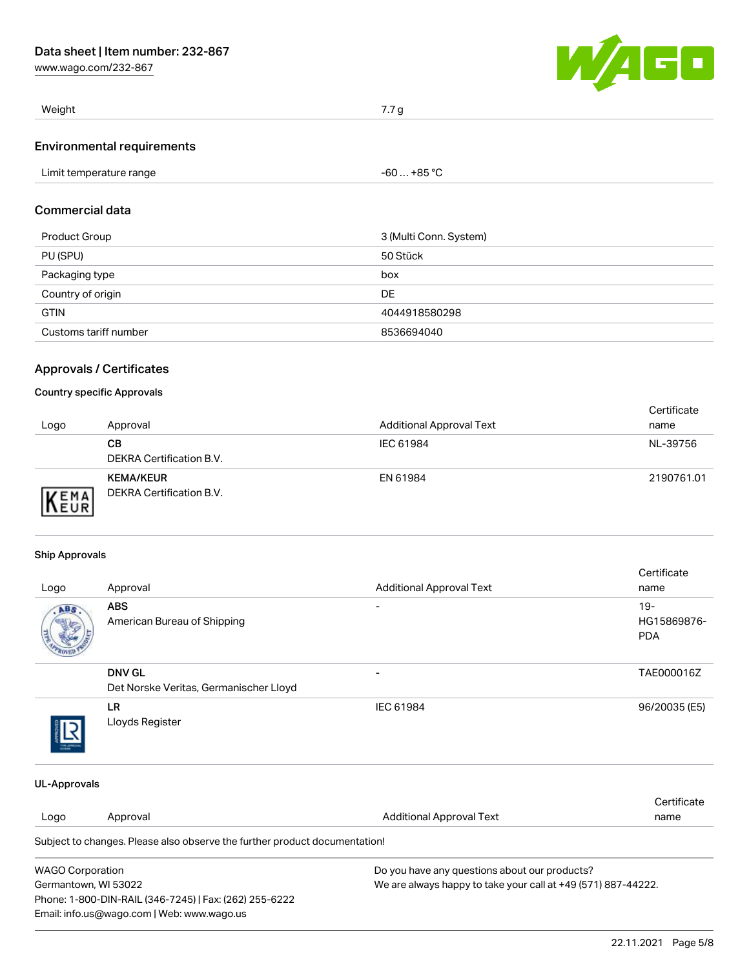[www.wago.com/232-867](http://www.wago.com/232-867)



| Weight                            | 7.7 <sub>q</sub> |
|-----------------------------------|------------------|
| <b>Environmental requirements</b> |                  |

### Commercial data

| Product Group         | 3 (Multi Conn. System) |
|-----------------------|------------------------|
| PU (SPU)              | 50 Stück               |
| Packaging type        | box                    |
| Country of origin     | DE                     |
| <b>GTIN</b>           | 4044918580298          |
| Customs tariff number | 8536694040             |

### Approvals / Certificates

#### Country specific Approvals

| Logo | Approval                                     | <b>Additional Approval Text</b> | Certificate<br>name |
|------|----------------------------------------------|---------------------------------|---------------------|
|      | CВ<br>DEKRA Certification B.V.               | IEC 61984                       | NL-39756            |
| EMA  | <b>KEMA/KEUR</b><br>DEKRA Certification B.V. | EN 61984                        | 2190761.01          |

#### Ship Approvals

Phone: 1-800-DIN-RAIL (346-7245) | Fax: (262) 255-6222

Email: info.us@wago.com | Web: www.wago.us

| Logo                                                                                  | Approval                                                                   | <b>Additional Approval Text</b>               | Certificate<br>name |
|---------------------------------------------------------------------------------------|----------------------------------------------------------------------------|-----------------------------------------------|---------------------|
| ABS                                                                                   | <b>ABS</b>                                                                 |                                               | $19 -$              |
|                                                                                       | American Bureau of Shipping                                                |                                               | HG15869876-         |
|                                                                                       |                                                                            |                                               | <b>PDA</b>          |
|                                                                                       | <b>DNV GL</b>                                                              |                                               | TAE000016Z          |
|                                                                                       | Det Norske Veritas, Germanischer Lloyd                                     |                                               |                     |
|                                                                                       | LR.                                                                        | IEC 61984                                     | 96/20035 (E5)       |
|                                                                                       | Lloyds Register                                                            |                                               |                     |
| <b>UL-Approvals</b>                                                                   |                                                                            |                                               |                     |
|                                                                                       |                                                                            |                                               | Certificate         |
| Logo                                                                                  | Approval                                                                   | <b>Additional Approval Text</b>               | name                |
|                                                                                       | Subject to changes. Please also observe the further product documentation! |                                               |                     |
| <b>WAGO Corporation</b>                                                               |                                                                            | Do you have any questions about our products? |                     |
| We are always happy to take your call at +49 (571) 887-44222.<br>Germantown, WI 53022 |                                                                            |                                               |                     |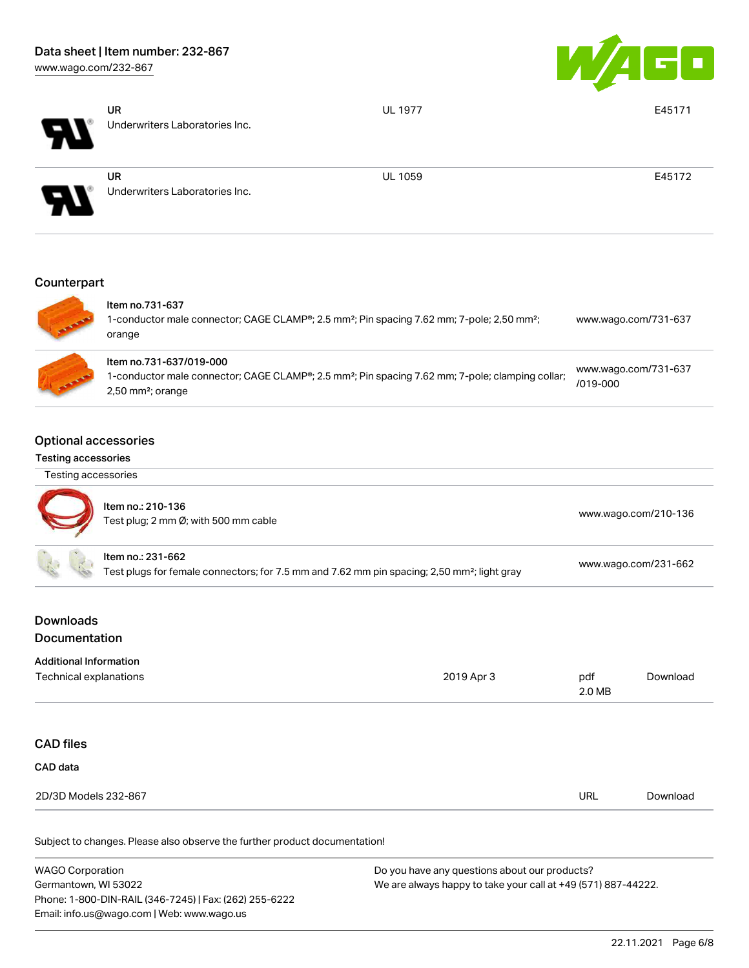

| H  | <b>UR</b><br>Underwriters Laboratories Inc. | <b>UL 1977</b> | E45171 |
|----|---------------------------------------------|----------------|--------|
| ЧV | <b>UR</b><br>Underwriters Laboratories Inc. | <b>UL 1059</b> | E45172 |
|    |                                             |                |        |

# **Counterpart**



| Item no.731-637<br>1-conductor male connector; CAGE CLAMP®; 2.5 mm <sup>2</sup> ; Pin spacing 7.62 mm; 7-pole; 2,50 mm <sup>2</sup> ;<br>orange                                         | www.wago.com/731-637                 |
|-----------------------------------------------------------------------------------------------------------------------------------------------------------------------------------------|--------------------------------------|
| Item no.731-637/019-000<br>1-conductor male connector; CAGE CLAMP <sup>®</sup> ; 2.5 mm <sup>2</sup> ; Pin spacing 7.62 mm; 7-pole; clamping collar;<br>$2,50$ mm <sup>2</sup> ; orange | www.wago.com/731-637<br>$/019 - 000$ |

#### Optional accessories

#### Testing accessories

| Testing accessories |  |
|---------------------|--|
|---------------------|--|



| Item no.: 210-136<br>Test plug; 2 mm Ø; with 500 mm cable                                                                    | www.wago.com/210-136 |
|------------------------------------------------------------------------------------------------------------------------------|----------------------|
| ltem no.: 231-662<br>Test plugs for female connectors; for 7.5 mm and 7.62 mm pin spacing; 2,50 mm <sup>2</sup> ; light gray | www.wago.com/231-662 |

## Downloads Documentation

# Additional Information Technical explanations 2019 Apr 3 pdf 2.0 MB

| <b>CAD files</b> |  |
|------------------|--|
|------------------|--|

## CAD data

Subject to changes. Please also observe the further product documentation!

| <b>WAGO Corporation</b>                                | Do you have any questions about our products?                 |
|--------------------------------------------------------|---------------------------------------------------------------|
| Germantown, WI 53022                                   | We are always happy to take your call at +49 (571) 887-44222. |
| Phone: 1-800-DIN-RAIL (346-7245)   Fax: (262) 255-6222 |                                                               |
| Email: info.us@wago.com   Web: www.wago.us             |                                                               |

[Download](https://www.wago.com/global/d/1435602)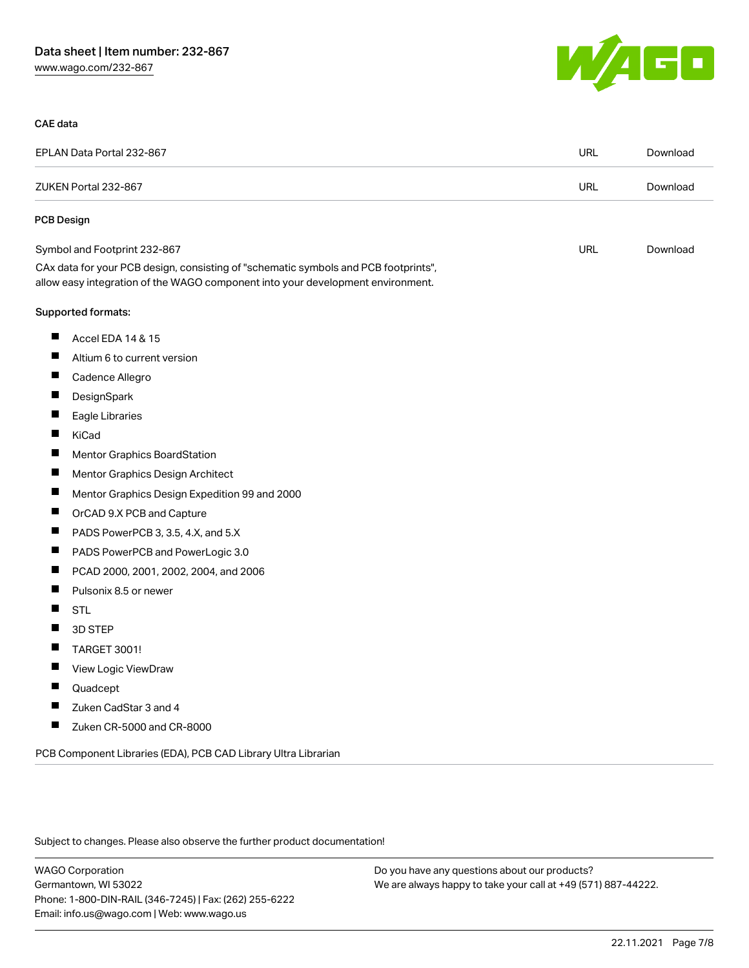

#### CAE data

| EPLAN Data Portal 232-867                                                                                                                                              | <b>URL</b> | Download |
|------------------------------------------------------------------------------------------------------------------------------------------------------------------------|------------|----------|
| ZUKEN Portal 232-867                                                                                                                                                   | <b>URL</b> | Download |
| PCB Design                                                                                                                                                             |            |          |
| Symbol and Footprint 232-867                                                                                                                                           | <b>URL</b> | Download |
| CAx data for your PCB design, consisting of "schematic symbols and PCB footprints",<br>allow easy integration of the WAGO component into your development environment. |            |          |
| Supported formats:                                                                                                                                                     |            |          |
| ш<br>Accel EDA 14 & 15                                                                                                                                                 |            |          |
| Ш<br>Altium 6 to current version                                                                                                                                       |            |          |
| Cadence Allegro                                                                                                                                                        |            |          |
| $\blacksquare$<br>DesignSpark                                                                                                                                          |            |          |
| ш<br>Eagle Libraries                                                                                                                                                   |            |          |
| H<br>KiCad                                                                                                                                                             |            |          |
| <b>Mentor Graphics BoardStation</b>                                                                                                                                    |            |          |
| Mentor Graphics Design Architect                                                                                                                                       |            |          |
| ш<br>Mentor Graphics Design Expedition 99 and 2000                                                                                                                     |            |          |
| H<br>OrCAD 9.X PCB and Capture                                                                                                                                         |            |          |
| ш<br>PADS PowerPCB 3, 3.5, 4.X, and 5.X                                                                                                                                |            |          |
| H<br>PADS PowerPCB and PowerLogic 3.0                                                                                                                                  |            |          |
| PCAD 2000, 2001, 2002, 2004, and 2006<br>$\blacksquare$                                                                                                                |            |          |
| Ш<br>Pulsonix 8.5 or newer                                                                                                                                             |            |          |
| <b>STL</b>                                                                                                                                                             |            |          |
| $\blacksquare$<br>3D STEP                                                                                                                                              |            |          |
| TARGET 3001!<br>H                                                                                                                                                      |            |          |
| View Logic ViewDraw                                                                                                                                                    |            |          |
| H<br>Quadcept                                                                                                                                                          |            |          |
| Zuken CadStar 3 and 4                                                                                                                                                  |            |          |
| ш<br>Zuken CR-5000 and CR-8000                                                                                                                                         |            |          |

PCB Component Libraries (EDA), PCB CAD Library Ultra Librarian

Subject to changes. Please also observe the further product documentation!

WAGO Corporation Germantown, WI 53022 Phone: 1-800-DIN-RAIL (346-7245) | Fax: (262) 255-6222 Email: info.us@wago.com | Web: www.wago.us

Do you have any questions about our products? We are always happy to take your call at +49 (571) 887-44222.